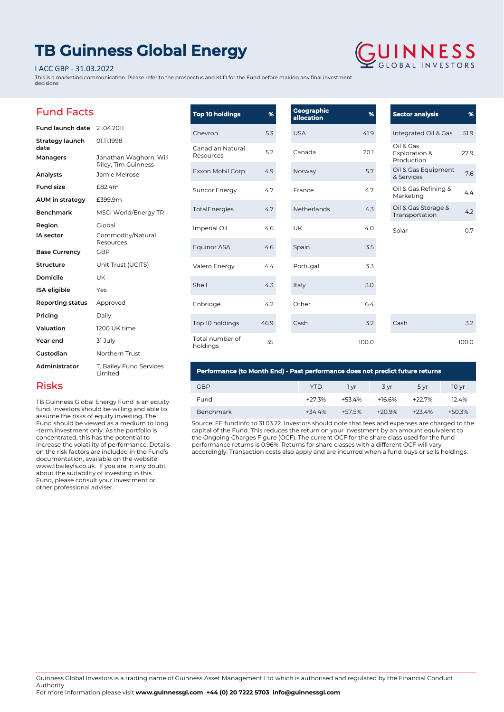## **TB Guinness Global Energy**

## I ACC GBP - 31.03.2022

This is a marketing communication. Please refer to the prospectus and KIID for the Fund before making any final investment decisions

# **GUINNESS**

## Fund Facts

| Fund launch date        | 21.04.2011                                    |
|-------------------------|-----------------------------------------------|
| Strategy launch<br>date | 01.11.1998                                    |
| Managers                | Jonathan Waghorn, Will<br>Riley, Tim Guinness |
| Analysts                | Jamie Melrose                                 |
| <b>Fund size</b>        | £82.4m                                        |
| AUM in strategy         | £399.9m                                       |
| <b>Benchmark</b>        | <b>MSCI World/Energy TR</b>                   |
| Region                  | Global                                        |
| IA sector               | Commodity/Natural<br>Resources                |
| <b>Base Currency</b>    | GBP                                           |
| <b>Structure</b>        | Unit Trust (UCITS)                            |
| Domicile                | UK                                            |
| <b>ISA</b> eligible     | Yes                                           |
| Reporting status        | Approved                                      |
| Pricing                 | Daily                                         |
| Valuation               | 1200 UK time                                  |
| Year end                | 31 July                                       |
| Custodian               | Northern Trust                                |
| Administrator           | T. Bailey Fund Services<br>Limited            |

| <b>Top 10 holdings</b>        | %    | <b>Geographic</b><br>allocation | %     | <b>Sector analysis</b>                   | %     |
|-------------------------------|------|---------------------------------|-------|------------------------------------------|-------|
| Chevron                       | 5.3  | <b>USA</b>                      | 41.9  | Integrated Oil & Gas                     | 51.9  |
| Canadian Natural<br>Resources | 5.2  | Canada                          | 20.1  | Oil & Gas<br>Exploration &<br>Production | 27.9  |
| Exxon Mobil Corp              | 4.9  | Norway                          | 5.7   | Oil & Gas Equipment<br>& Services        | 7.6   |
| <b>Suncor Energy</b>          | 4.7  | France                          | 4.7   | Oil & Gas Refining &<br>Marketing        | 4.4   |
| TotalEnergies                 | 4.7  | Netherlands                     | 4.3   | Oil & Gas Storage &<br>Transportation    | 4.2   |
| Imperial Oil                  | 4.6  | <b>UK</b>                       | 4.0   | Solar                                    | 0.7   |
| Equinor ASA                   | 4.6  | Spain                           | 3.5   |                                          |       |
| Valero Energy                 | 4.4  | Portugal                        | 3.3   |                                          |       |
| Shell                         | 4.3  | Italy                           | 3.0   |                                          |       |
| Enbridge                      | 4.2  | Other                           | 6.4   |                                          |       |
| Top 10 holdings               | 46.9 | Cash                            | 3.2   | Cash                                     | 3.2   |
| Total number of<br>holdings   | 35   |                                 | 100.0 |                                          | 100.0 |

## Risks

TB Guinness Global Energy Fund is an equity fund. Investors should be willing and able to assume the risks of equity investing. The Fund should be viewed as a medium to long -term investment only. As the portfolio is concentrated, this has the potential to increase the volatility of performance. Details on the risk factors are included in the Fund's documentation, available on the website www.tbaileyfs.co.uk. If you are in any doubt about the suitability of investing in this Fund, please consult your investment or other professional adviser.

## **Performance (to Month End) - Past performance does not predict future returns**

| <b>GBP</b>       | YTD       | 1 vr    | 3 vr      | 5 vr     | 10 yr    |
|------------------|-----------|---------|-----------|----------|----------|
| Fund             | $+27.3%$  | $+534%$ | $+16.6\%$ | +22.7%   | $-124%$  |
| <b>Benchmark</b> | $+34.4\%$ | +57.5%  | $+209%$   | $+23.4%$ | $+50.3%$ |

Source: FE fundinfo to 31.03.22. Investors should note that fees and expenses are charged to the capital of the Fund. This reduces the return on your investment by an amount equivalent to the Ongoing Charges Figure (OCF). The current OCF for the share class used for the fund performance returns is 0.96%. Returns for share classes with a different OCF will vary accordingly. Transaction costs also apply and are incurred when a fund buys or sells holdings.